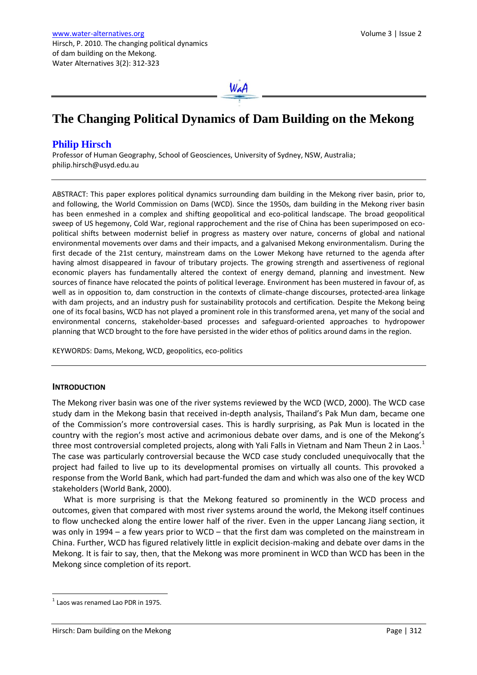WaA

# **The Changing Political Dynamics of Dam Building on the Mekong**

## **Philip Hirsch**

Professor of Human Geography, School of Geosciences, University of Sydney, NSW, Australia; [philip.hirsch@usyd.edu.au](mailto:philip.hirsch@usyd.edu.au)

ABSTRACT: This paper explores political dynamics surrounding dam building in the Mekong river basin, prior to, and following, the World Commission on Dams (WCD). Since the 1950s, dam building in the Mekong river basin has been enmeshed in a complex and shifting geopolitical and eco-political landscape. The broad geopolitical sweep of US hegemony, Cold War, regional rapprochement and the rise of China has been superimposed on ecopolitical shifts between modernist belief in progress as mastery over nature, concerns of global and national environmental movements over dams and their impacts, and a galvanised Mekong environmentalism. During the first decade of the 21st century, mainstream dams on the Lower Mekong have returned to the agenda after having almost disappeared in favour of tributary projects. The growing strength and assertiveness of regional economic players has fundamentally altered the context of energy demand, planning and investment. New sources of finance have relocated the points of political leverage. Environment has been mustered in favour of, as well as in opposition to, dam construction in the contexts of climate-change discourses, protected-area linkage with dam projects, and an industry push for sustainability protocols and certification. Despite the Mekong being one of its focal basins, WCD has not played a prominent role in this transformed arena, yet many of the social and environmental concerns, stakeholder-based processes and safeguard-oriented approaches to hydropower planning that WCD brought to the fore have persisted in the wider ethos of politics around dams in the region.

KEYWORDS: Dams, Mekong, WCD, geopolitics, eco-politics

#### **INTRODUCTION**

The Mekong river basin was one of the river systems reviewed by the WCD (WCD, 2000). The WCD case study dam in the Mekong basin that received in-depth analysis, Thailand's Pak Mun dam, became one of the Commission's more controversial cases. This is hardly surprising, as Pak Mun is located in the country with the region's most active and acrimonious debate over dams, and is one of the Mekong's three most controversial completed projects, along with Yali Falls in Vietnam and Nam Theun 2 in Laos.<sup>1</sup> The case was particularly controversial because the WCD case study concluded unequivocally that the project had failed to live up to its developmental promises on virtually all counts. This provoked a response from the World Bank, which had part-funded the dam and which was also one of the key WCD stakeholders (World Bank, 2000).

What is more surprising is that the Mekong featured so prominently in the WCD process and outcomes, given that compared with most river systems around the world, the Mekong itself continues to flow unchecked along the entire lower half of the river. Even in the upper Lancang Jiang section, it was only in 1994 – a few years prior to WCD – that the first dam was completed on the mainstream in China. Further, WCD has figured relatively little in explicit decision-making and debate over dams in the Mekong. It is fair to say, then, that the Mekong was more prominent in WCD than WCD has been in the Mekong since completion of its report.

-

 $<sup>1</sup>$  Laos was renamed Lao PDR in 1975.</sup>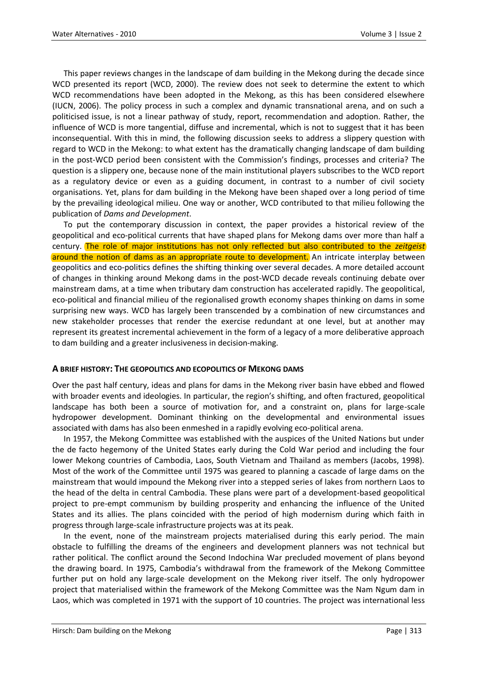This paper reviews changes in the landscape of dam building in the Mekong during the decade since WCD presented its report (WCD, 2000). The review does not seek to determine the extent to which WCD recommendations have been adopted in the Mekong, as this has been considered elsewhere (IUCN, 2006). The policy process in such a complex and dynamic transnational arena, and on such a politicised issue, is not a linear pathway of study, report, recommendation and adoption. Rather, the influence of WCD is more tangential, diffuse and incremental, which is not to suggest that it has been inconsequential. With this in mind, the following discussion seeks to address a slippery question with regard to WCD in the Mekong: to what extent has the dramatically changing landscape of dam building in the post-WCD period been consistent with the Commission's findings, processes and criteria? The question is a slippery one, because none of the main institutional players subscribes to the WCD report as a regulatory device or even as a guiding document, in contrast to a number of civil society organisations. Yet, plans for dam building in the Mekong have been shaped over a long period of time by the prevailing ideological milieu. One way or another, WCD contributed to that milieu following the publication of *Dams and Development*.

To put the contemporary discussion in context, the paper provides a historical review of the geopolitical and eco-political currents that have shaped plans for Mekong dams over more than half a century. The role of major institutions has not only reflected but also contributed to the *zeitgeist* around the notion of dams as an appropriate route to development. An intricate interplay between geopolitics and eco-politics defines the shifting thinking over several decades. A more detailed account of changes in thinking around Mekong dams in the post-WCD decade reveals continuing debate over mainstream dams, at a time when tributary dam construction has accelerated rapidly. The geopolitical, eco-political and financial milieu of the regionalised growth economy shapes thinking on dams in some surprising new ways. WCD has largely been transcended by a combination of new circumstances and new stakeholder processes that render the exercise redundant at one level, but at another may represent its greatest incremental achievement in the form of a legacy of a more deliberative approach to dam building and a greater inclusiveness in decision-making.

#### **A BRIEF HISTORY: THE GEOPOLITICS AND ECOPOLITICS OF MEKONG DAMS**

Over the past half century, ideas and plans for dams in the Mekong river basin have ebbed and flowed with broader events and ideologies. In particular, the region's shifting, and often fractured, geopolitical landscape has both been a source of motivation for, and a constraint on, plans for large-scale hydropower development. Dominant thinking on the developmental and environmental issues associated with dams has also been enmeshed in a rapidly evolving eco-political arena.

In 1957, the Mekong Committee was established with the auspices of the United Nations but under the de facto hegemony of the United States early during the Cold War period and including the four lower Mekong countries of Cambodia, Laos, South Vietnam and Thailand as members (Jacobs, 1998). Most of the work of the Committee until 1975 was geared to planning a cascade of large dams on the mainstream that would impound the Mekong river into a stepped series of lakes from northern Laos to the head of the delta in central Cambodia. These plans were part of a development-based geopolitical project to pre-empt communism by building prosperity and enhancing the influence of the United States and its allies. The plans coincided with the period of high modernism during which faith in progress through large-scale infrastructure projects was at its peak.

In the event, none of the mainstream projects materialised during this early period. The main obstacle to fulfilling the dreams of the engineers and development planners was not technical but rather political. The conflict around the Second Indochina War precluded movement of plans beyond the drawing board. In 1975, Cambodia's withdrawal from the framework of the Mekong Committee further put on hold any large-scale development on the Mekong river itself. The only hydropower project that materialised within the framework of the Mekong Committee was the Nam Ngum dam in Laos, which was completed in 1971 with the support of 10 countries. The project was international less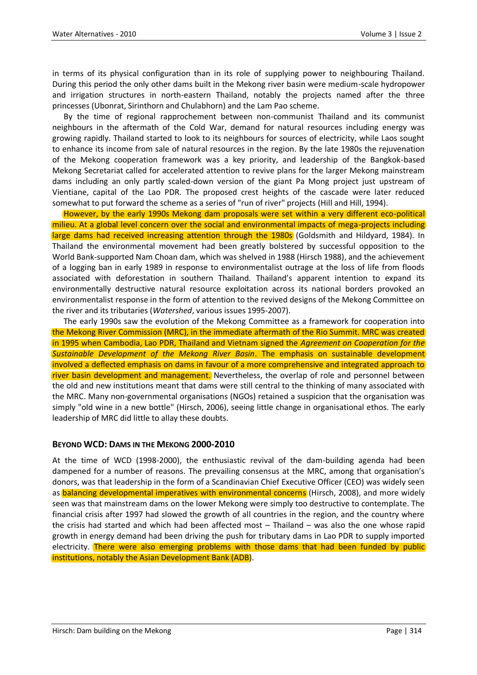in terms of its physical configuration than in its role of supplying power to neighbouring Thailand. During this period the only other dams built in the Mekong river basin were medium-scale hydropower and irrigation structures in north-eastern Thailand, notably the projects named after the three princesses (Ubonrat, Sirinthorn and Chulabhorn) and the Lam Pao scheme.

By the time of regional rapprochement between non-communist Thailand and its communist neighbours in the aftermath of the Cold War, demand for natural resources including energy was growing rapidly. Thailand started to look to its neighbours for sources of electricity, while Laos sought to enhance its income from sale of natural resources in the region. By the late 1980s the rejuvenation of the Mekong cooperation framework was a key priority, and leadership of the Bangkok-based Mekong Secretariat called for accelerated attention to revive plans for the larger Mekong mainstream dams including an only partly scaled-down version of the giant Pa Mong project just upstream of Vientiane, capital of the Lao PDR. The proposed crest heights of the cascade were later reduced somewhat to put forward the scheme as a series of "run of river" projects (Hill and Hill, 1994).

However, by the early 1990s Mekong dam proposals were set within a very different eco-political milieu. At a global level concern over the social and environmental impacts of mega-projects including large dams had received increasing attention through the 1980s (Goldsmith and Hildyard, 1984). In Thailand the environmental movement had been greatly bolstered by successful opposition to the World Bank-supported Nam Choan dam, which was shelved in 1988 (Hirsch 1988), and the achievement of a logging ban in early 1989 in response to environmentalist outrage at the loss of life from floods associated with deforestation in southern Thailand. Thailand's apparent intention to expand its environmentally destructive natural resource exploitation across its national borders provoked an environmentalist response in the form of attention to the revived designs of the Mekong Committee on the river and its tributaries (*Watershed*, various issues 1995-2007).

The early 1990s saw the evolution of the Mekong Committee as a framework for cooperation into the Mekong River Commission (MRC), in the immediate aftermath of the Rio Summit. MRC was created in 1995 when Cambodia, Lao PDR, Thailand and Vietnam signed the *Agreement on Cooperation for the Sustainable Development of the Mekong River Basin*. The emphasis on sustainable development involved a deflected emphasis on dams in favour of a more comprehensive and integrated approach to river basin development and management. Nevertheless, the overlap of role and personnel between the old and new institutions meant that dams were still central to the thinking of many associated with the MRC. Many non-governmental organisations (NGOs) retained a suspicion that the organisation was simply "old wine in a new bottle" (Hirsch, 2006), seeing little change in organisational ethos. The early leadership of MRC did little to allay these doubts.

#### **BEYOND WCD: DAMS IN THE MEKONG 2000-2010**

At the time of WCD (1998-2000), the enthusiastic revival of the dam-building agenda had been dampened for a number of reasons. The prevailing consensus at the MRC, among that organisation's donors, was that leadership in the form of a Scandinavian Chief Executive Officer (CEO) was widely seen as balancing developmental imperatives with environmental concerns (Hirsch, 2008), and more widely seen was that mainstream dams on the lower Mekong were simply too destructive to contemplate. The financial crisis after 1997 had slowed the growth of all countries in the region, and the country where the crisis had started and which had been affected most – Thailand – was also the one whose rapid growth in energy demand had been driving the push for tributary dams in Lao PDR to supply imported electricity. There were also emerging problems with those dams that had been funded by public institutions, notably the Asian Development Bank (ADB).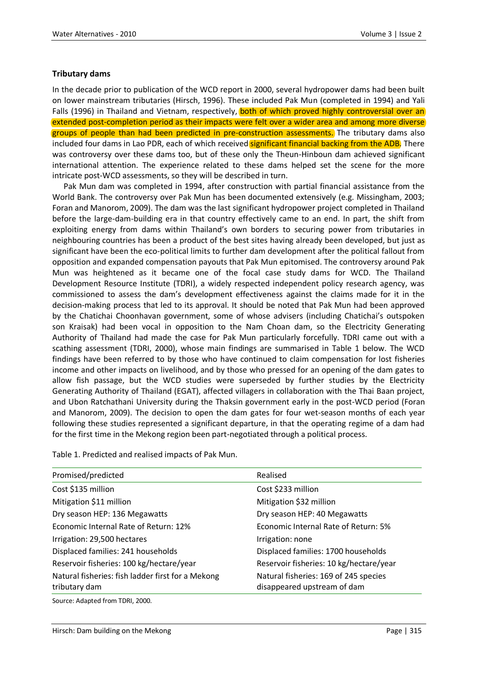### **Tributary dams**

In the decade prior to publication of the WCD report in 2000, several hydropower dams had been built on lower mainstream tributaries (Hirsch, 1996). These included Pak Mun (completed in 1994) and Yali Falls (1996) in Thailand and Vietnam, respectively, **both of which proved highly controversial over an** extended post-completion period as their impacts were felt over a wider area and among more diverse groups of people than had been predicted in pre-construction assessments. The tributary dams also included four dams in Lao PDR, each of which received significant financial backing from the ADB. There was controversy over these dams too, but of these only the Theun-Hinboun dam achieved significant international attention. The experience related to these dams helped set the scene for the more intricate post-WCD assessments, so they will be described in turn.

Pak Mun dam was completed in 1994, after construction with partial financial assistance from the World Bank. The controversy over Pak Mun has been documented extensively (e.g. Missingham, 2003; Foran and Manorom, 2009). The dam was the last significant hydropower project completed in Thailand before the large-dam-building era in that country effectively came to an end. In part, the shift from exploiting energy from dams within Thailand's own borders to securing power from tributaries in neighbouring countries has been a product of the best sites having already been developed, but just as significant have been the eco-political limits to further dam development after the political fallout from opposition and expanded compensation payouts that Pak Mun epitomised. The controversy around Pak Mun was heightened as it became one of the focal case study dams for WCD. The Thailand Development Resource Institute (TDRI), a widely respected independent policy research agency, was commissioned to assess the dam's development effectiveness against the claims made for it in the decision-making process that led to its approval. It should be noted that Pak Mun had been approved by the Chatichai Choonhavan government, some of whose advisers (including Chatichai's outspoken son Kraisak) had been vocal in opposition to the Nam Choan dam, so the Electricity Generating Authority of Thailand had made the case for Pak Mun particularly forcefully. TDRI came out with a scathing assessment (TDRI, 2000), whose main findings are summarised in Table 1 below. The WCD findings have been referred to by those who have continued to claim compensation for lost fisheries income and other impacts on livelihood, and by those who pressed for an opening of the dam gates to allow fish passage, but the WCD studies were superseded by further studies by the Electricity Generating Authority of Thailand (EGAT), affected villagers in collaboration with the Thai Baan project, and Ubon Ratchathani University during the Thaksin government early in the post-WCD period (Foran and Manorom, 2009). The decision to open the dam gates for four wet-season months of each year following these studies represented a significant departure, in that the operating regime of a dam had for the first time in the Mekong region been part-negotiated through a political process.

Table 1. Predicted and realised impacts of Pak Mun.

| Realised                                                             |
|----------------------------------------------------------------------|
| Cost \$233 million                                                   |
| Mitigation \$32 million                                              |
| Dry season HEP: 40 Megawatts                                         |
| Economic Internal Rate of Return: 5%                                 |
| Irrigation: none                                                     |
| Displaced families: 1700 households                                  |
| Reservoir fisheries: 10 kg/hectare/year                              |
| Natural fisheries: 169 of 245 species<br>disappeared upstream of dam |
|                                                                      |

Source: Adapted from TDRI, 2000.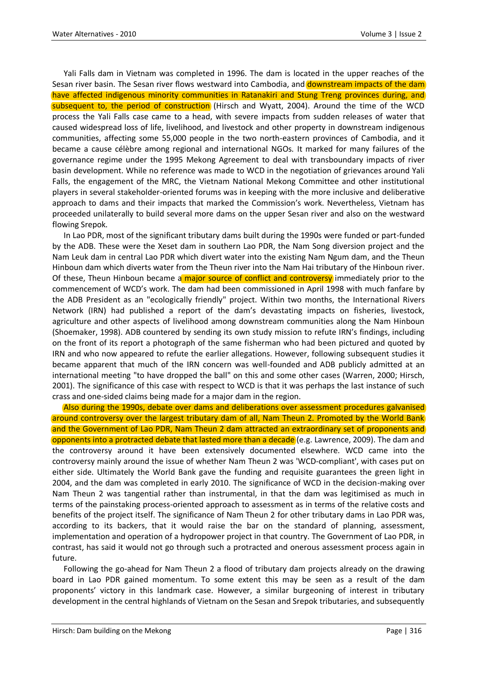Yali Falls dam in Vietnam was completed in 1996. The dam is located in the upper reaches of the Sesan river basin. The Sesan river flows westward into Cambodia, and **downstream impacts of the dam** have affected indigenous minority communities in Ratanakiri and Stung Treng provinces during, and subsequent to, the period of construction (Hirsch and Wyatt, 2004). Around the time of the WCD process the Yali Falls case came to a head, with severe impacts from sudden releases of water that caused widespread loss of life, livelihood, and livestock and other property in downstream indigenous communities, affecting some 55,000 people in the two north-eastern provinces of Cambodia, and it became a cause célèbre among regional and international NGOs. It marked for many failures of the governance regime under the 1995 Mekong Agreement to deal with transboundary impacts of river basin development. While no reference was made to WCD in the negotiation of grievances around Yali Falls, the engagement of the MRC, the Vietnam National Mekong Committee and other institutional players in several stakeholder-oriented forums was in keeping with the more inclusive and deliberative approach to dams and their impacts that marked the Commission's work. Nevertheless, Vietnam has proceeded unilaterally to build several more dams on the upper Sesan river and also on the westward flowing Srepok.

In Lao PDR, most of the significant tributary dams built during the 1990s were funded or part-funded by the ADB. These were the Xeset dam in southern Lao PDR, the Nam Song diversion project and the Nam Leuk dam in central Lao PDR which divert water into the existing Nam Ngum dam, and the Theun Hinboun dam which diverts water from the Theun river into the Nam Hai tributary of the Hinboun river. Of these, Theun Hinboun became a major source of conflict and controversy immediately prior to the commencement of WCD's work. The dam had been commissioned in April 1998 with much fanfare by the ADB President as an "ecologically friendly" project. Within two months, the International Rivers Network (IRN) had published a report of the dam's devastating impacts on fisheries, livestock, agriculture and other aspects of livelihood among downstream communities along the Nam Hinboun (Shoemaker, 1998). ADB countered by sending its own study mission to refute IRN's findings, including on the front of its report a photograph of the same fisherman who had been pictured and quoted by IRN and who now appeared to refute the earlier allegations. However, following subsequent studies it became apparent that much of the IRN concern was well-founded and ADB publicly admitted at an international meeting "to have dropped the ball" on this and some other cases (Warren, 2000; Hirsch, 2001). The significance of this case with respect to WCD is that it was perhaps the last instance of such crass and one-sided claims being made for a major dam in the region.

Also during the 1990s, debate over dams and deliberations over assessment procedures galvanised around controversy over the largest tributary dam of all, Nam Theun 2. Promoted by the World Bank and the Government of Lao PDR, Nam Theun 2 dam attracted an extraordinary set of proponents and opponents into a protracted debate that lasted more than a decade (e.g. Lawrence, 2009). The dam and the controversy around it have been extensively documented elsewhere. WCD came into the controversy mainly around the issue of whether Nam Theun 2 was 'WCD-compliant', with cases put on either side. Ultimately the World Bank gave the funding and requisite guarantees the green light in 2004, and the dam was completed in early 2010. The significance of WCD in the decision-making over Nam Theun 2 was tangential rather than instrumental, in that the dam was legitimised as much in terms of the painstaking process-oriented approach to assessment as in terms of the relative costs and benefits of the project itself. The significance of Nam Theun 2 for other tributary dams in Lao PDR was, according to its backers, that it would raise the bar on the standard of planning, assessment, implementation and operation of a hydropower project in that country. The Government of Lao PDR, in contrast, has said it would not go through such a protracted and onerous assessment process again in future.

Following the go-ahead for Nam Theun 2 a flood of tributary dam projects already on the drawing board in Lao PDR gained momentum. To some extent this may be seen as a result of the dam proponents' victory in this landmark case. However, a similar burgeoning of interest in tributary development in the central highlands of Vietnam on the Sesan and Srepok tributaries, and subsequently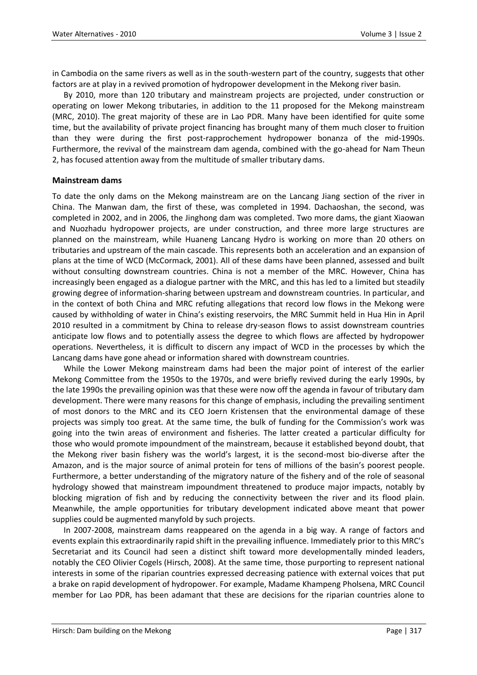in Cambodia on the same rivers as well as in the south-western part of the country, suggests that other factors are at play in a revived promotion of hydropower development in the Mekong river basin.

By 2010, more than 120 tributary and mainstream projects are projected, under construction or operating on lower Mekong tributaries, in addition to the 11 proposed for the Mekong mainstream (MRC, 2010). The great majority of these are in Lao PDR. Many have been identified for quite some time, but the availability of private project financing has brought many of them much closer to fruition than they were during the first post-rapprochement hydropower bonanza of the mid-1990s. Furthermore, the revival of the mainstream dam agenda, combined with the go-ahead for Nam Theun 2, has focused attention away from the multitude of smaller tributary dams.

#### **Mainstream dams**

To date the only dams on the Mekong mainstream are on the Lancang Jiang section of the river in China. The Manwan dam, the first of these, was completed in 1994. Dachaoshan, the second, was completed in 2002, and in 2006, the Jinghong dam was completed. Two more dams, the giant Xiaowan and Nuozhadu hydropower projects, are under construction, and three more large structures are planned on the mainstream, while Huaneng Lancang Hydro is working on more than 20 others on tributaries and upstream of the main cascade. This represents both an acceleration and an expansion of plans at the time of WCD (McCormack, 2001). All of these dams have been planned, assessed and built without consulting downstream countries. China is not a member of the MRC. However, China has increasingly been engaged as a dialogue partner with the MRC, and this has led to a limited but steadily growing degree of information-sharing between upstream and downstream countries. In particular, and in the context of both China and MRC refuting allegations that record low flows in the Mekong were caused by withholding of water in China's existing reservoirs, the MRC Summit held in Hua Hin in April 2010 resulted in a commitment by China to release dry-season flows to assist downstream countries anticipate low flows and to potentially assess the degree to which flows are affected by hydropower operations. Nevertheless, it is difficult to discern any impact of WCD in the processes by which the Lancang dams have gone ahead or information shared with downstream countries.

While the Lower Mekong mainstream dams had been the major point of interest of the earlier Mekong Committee from the 1950s to the 1970s, and were briefly revived during the early 1990s, by the late 1990s the prevailing opinion was that these were now off the agenda in favour of tributary dam development. There were many reasons for this change of emphasis, including the prevailing sentiment of most donors to the MRC and its CEO Joern Kristensen that the environmental damage of these projects was simply too great. At the same time, the bulk of funding for the Commission's work was going into the twin areas of environment and fisheries. The latter created a particular difficulty for those who would promote impoundment of the mainstream, because it established beyond doubt, that the Mekong river basin fishery was the world's largest, it is the second-most bio-diverse after the Amazon, and is the major source of animal protein for tens of millions of the basin's poorest people. Furthermore, a better understanding of the migratory nature of the fishery and of the role of seasonal hydrology showed that mainstream impoundment threatened to produce major impacts, notably by blocking migration of fish and by reducing the connectivity between the river and its flood plain. Meanwhile, the ample opportunities for tributary development indicated above meant that power supplies could be augmented manyfold by such projects.

In 2007-2008, mainstream dams reappeared on the agenda in a big way. A range of factors and events explain this extraordinarily rapid shift in the prevailing influence. Immediately prior to this MRC's Secretariat and its Council had seen a distinct shift toward more developmentally minded leaders, notably the CEO Olivier Cogels (Hirsch, 2008). At the same time, those purporting to represent national interests in some of the riparian countries expressed decreasing patience with external voices that put a brake on rapid development of hydropower. For example, Madame Khampeng Pholsena, MRC Council member for Lao PDR, has been adamant that these are decisions for the riparian countries alone to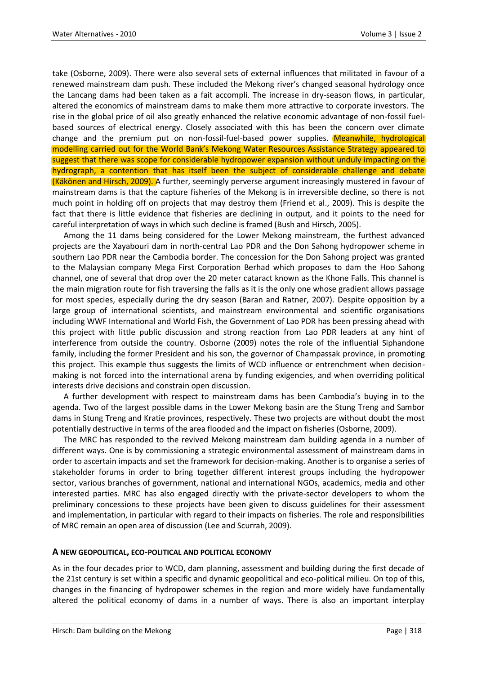take (Osborne, 2009). There were also several sets of external influences that militated in favour of a renewed mainstream dam push. These included the Mekong river's changed seasonal hydrology once the Lancang dams had been taken as a fait accompli. The increase in dry-season flows, in particular, altered the economics of mainstream dams to make them more attractive to corporate investors. The rise in the global price of oil also greatly enhanced the relative economic advantage of non-fossil fuelbased sources of electrical energy. Closely associated with this has been the concern over climate change and the premium put on non-fossil-fuel-based power supplies. Meanwhile, hydrological modelling carried out for the World Bank's Mekong Water Resources Assistance Strategy appeared to suggest that there was scope for considerable hydropower expansion without unduly impacting on the hydrograph, a contention that has itself been the subject of considerable challenge and debate (Käkönen and Hirsch, 2009). A further, seemingly perverse argument increasingly mustered in favour of mainstream dams is that the capture fisheries of the Mekong is in irreversible decline, so there is not much point in holding off on projects that may destroy them (Friend et al., 2009). This is despite the fact that there is little evidence that fisheries are declining in output, and it points to the need for careful interpretation of ways in which such decline is framed (Bush and Hirsch, 2005).

Among the 11 dams being considered for the Lower Mekong mainstream, the furthest advanced projects are the Xayabouri dam in north-central Lao PDR and the Don Sahong hydropower scheme in southern Lao PDR near the Cambodia border. The concession for the Don Sahong project was granted to the Malaysian company Mega First Corporation Berhad which proposes to dam the Hoo Sahong channel, one of several that drop over the 20 meter cataract known as the Khone Falls. This channel is the main migration route for fish traversing the falls as it is the only one whose gradient allows passage for most species, especially during the dry season (Baran and Ratner, 2007). Despite opposition by a large group of international scientists, and mainstream environmental and scientific organisations including WWF International and World Fish, the Government of Lao PDR has been pressing ahead with this project with little public discussion and strong reaction from Lao PDR leaders at any hint of interference from outside the country. Osborne (2009) notes the role of the influential Siphandone family, including the former President and his son, the governor of Champassak province, in promoting this project. This example thus suggests the limits of WCD influence or entrenchment when decisionmaking is not forced into the international arena by funding exigencies, and when overriding political interests drive decisions and constrain open discussion.

A further development with respect to mainstream dams has been Cambodia's buying in to the agenda. Two of the largest possible dams in the Lower Mekong basin are the Stung Treng and Sambor dams in Stung Treng and Kratie provinces, respectively. These two projects are without doubt the most potentially destructive in terms of the area flooded and the impact on fisheries (Osborne, 2009).

The MRC has responded to the revived Mekong mainstream dam building agenda in a number of different ways. One is by commissioning a strategic environmental assessment of mainstream dams in order to ascertain impacts and set the framework for decision-making. Another is to organise a series of stakeholder forums in order to bring together different interest groups including the hydropower sector, various branches of government, national and international NGOs, academics, media and other interested parties. MRC has also engaged directly with the private-sector developers to whom the preliminary concessions to these projects have been given to discuss guidelines for their assessment and implementation, in particular with regard to their impacts on fisheries. The role and responsibilities of MRC remain an open area of discussion (Lee and Scurrah, 2009).

#### **A NEW GEOPOLITICAL, ECO-POLITICAL AND POLITICAL ECONOMY**

As in the four decades prior to WCD, dam planning, assessment and building during the first decade of the 21st century is set within a specific and dynamic geopolitical and eco-political milieu. On top of this, changes in the financing of hydropower schemes in the region and more widely have fundamentally altered the political economy of dams in a number of ways. There is also an important interplay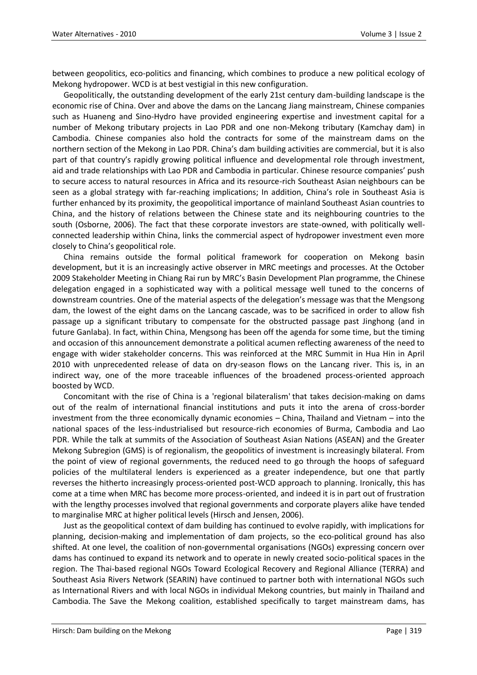between geopolitics, eco-politics and financing, which combines to produce a new political ecology of Mekong hydropower. WCD is at best vestigial in this new configuration.

Geopolitically, the outstanding development of the early 21st century dam-building landscape is the economic rise of China. Over and above the dams on the Lancang Jiang mainstream, Chinese companies such as Huaneng and Sino-Hydro have provided engineering expertise and investment capital for a number of Mekong tributary projects in Lao PDR and one non-Mekong tributary (Kamchay dam) in Cambodia. Chinese companies also hold the contracts for some of the mainstream dams on the northern section of the Mekong in Lao PDR. China's dam building activities are commercial, but it is also part of that country's rapidly growing political influence and developmental role through investment, aid and trade relationships with Lao PDR and Cambodia in particular. Chinese resource companies' push to secure access to natural resources in Africa and its resource-rich Southeast Asian neighbours can be seen as a global strategy with far-reaching implications; In addition, China's role in Southeast Asia is further enhanced by its proximity, the geopolitical importance of mainland Southeast Asian countries to China, and the history of relations between the Chinese state and its neighbouring countries to the south (Osborne, 2006). The fact that these corporate investors are state-owned, with politically wellconnected leadership within China, links the commercial aspect of hydropower investment even more closely to China's geopolitical role.

China remains outside the formal political framework for cooperation on Mekong basin development, but it is an increasingly active observer in MRC meetings and processes. At the October 2009 Stakeholder Meeting in Chiang Rai run by MRC's Basin Development Plan programme, the Chinese delegation engaged in a sophisticated way with a political message well tuned to the concerns of downstream countries. One of the material aspects of the delegation's message was that the Mengsong dam, the lowest of the eight dams on the Lancang cascade, was to be sacrificed in order to allow fish passage up a significant tributary to compensate for the obstructed passage past Jinghong (and in future Ganlaba). In fact, within China, Mengsong has been off the agenda for some time, but the timing and occasion of this announcement demonstrate a political acumen reflecting awareness of the need to engage with wider stakeholder concerns. This was reinforced at the MRC Summit in Hua Hin in April 2010 with unprecedented release of data on dry-season flows on the Lancang river. This is, in an indirect way, one of the more traceable influences of the broadened process-oriented approach boosted by WCD.

Concomitant with the rise of China is a 'regional bilateralism' that takes decision-making on dams out of the realm of international financial institutions and puts it into the arena of cross-border investment from the three economically dynamic economies – China, Thailand and Vietnam – into the national spaces of the less-industrialised but resource-rich economies of Burma, Cambodia and Lao PDR. While the talk at summits of the Association of Southeast Asian Nations (ASEAN) and the Greater Mekong Subregion (GMS) is of regionalism, the geopolitics of investment is increasingly bilateral. From the point of view of regional governments, the reduced need to go through the hoops of safeguard policies of the multilateral lenders is experienced as a greater independence, but one that partly reverses the hitherto increasingly process-oriented post-WCD approach to planning. Ironically, this has come at a time when MRC has become more process-oriented, and indeed it is in part out of frustration with the lengthy processes involved that regional governments and corporate players alike have tended to marginalise MRC at higher political levels (Hirsch and Jensen, 2006).

Just as the geopolitical context of dam building has continued to evolve rapidly, with implications for planning, decision-making and implementation of dam projects, so the eco-political ground has also shifted. At one level, the coalition of non-governmental organisations (NGOs) expressing concern over dams has continued to expand its network and to operate in newly created socio-political spaces in the region. The Thai-based regional NGOs Toward Ecological Recovery and Regional Alliance (TERRA) and Southeast Asia Rivers Network (SEARIN) have continued to partner both with international NGOs such as International Rivers and with local NGOs in individual Mekong countries, but mainly in Thailand and Cambodia. The Save the Mekong coalition, established specifically to target mainstream dams, has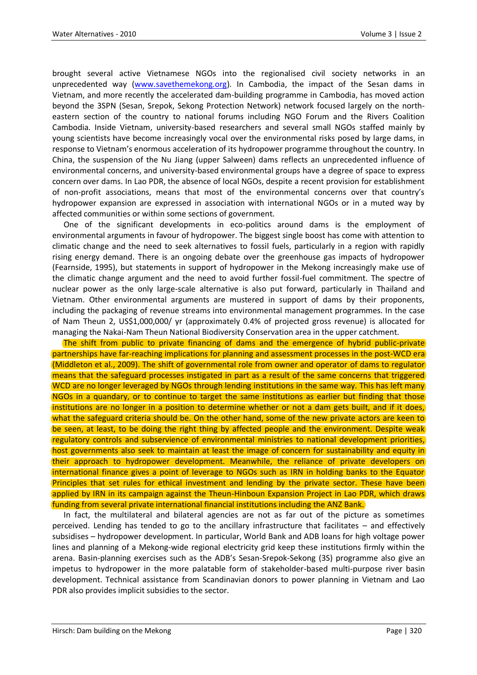brought several active Vietnamese NGOs into the regionalised civil society networks in an unprecedented way [\(www.savethemekong.org\)](http://www.savethemekong.org/). In Cambodia, the impact of the Sesan dams in Vietnam, and more recently the accelerated dam-building programme in Cambodia, has moved action beyond the 3SPN (Sesan, Srepok, Sekong Protection Network) network focused largely on the northeastern section of the country to national forums including NGO Forum and the Rivers Coalition Cambodia. Inside Vietnam, university-based researchers and several small NGOs staffed mainly by young scientists have become increasingly vocal over the environmental risks posed by large dams, in response to Vietnam's enormous acceleration of its hydropower programme throughout the country. In China, the suspension of the Nu Jiang (upper Salween) dams reflects an unprecedented influence of environmental concerns, and university-based environmental groups have a degree of space to express concern over dams. In Lao PDR, the absence of local NGOs, despite a recent provision for establishment of non-profit associations, means that most of the environmental concerns over that country's hydropower expansion are expressed in association with international NGOs or in a muted way by affected communities or within some sections of government.

One of the significant developments in eco-politics around dams is the employment of environmental arguments in favour of hydropower. The biggest single boost has come with attention to climatic change and the need to seek alternatives to fossil fuels, particularly in a region with rapidly rising energy demand. There is an ongoing debate over the greenhouse gas impacts of hydropower (Fearnside, 1995), but statements in support of hydropower in the Mekong increasingly make use of the climatic change argument and the need to avoid further fossil-fuel commitment. The spectre of nuclear power as the only large-scale alternative is also put forward, particularly in Thailand and Vietnam. Other environmental arguments are mustered in support of dams by their proponents, including the packaging of revenue streams into environmental management programmes. In the case of Nam Theun 2, US\$1,000,000/ yr (approximately 0.4% of projected gross revenue) is allocated for managing the Nakai-Nam Theun National Biodiversity Conservation area in the upper catchment.

The shift from public to private financing of dams and the emergence of hybrid public-private partnerships have far-reaching implications for planning and assessment processes in the post-WCD era (Middleton et al., 2009). The shift of governmental role from owner and operator of dams to regulator means that the safeguard processes instigated in part as a result of the same concerns that triggered WCD are no longer leveraged by NGOs through lending institutions in the same way. This has left many NGOs in a quandary, or to continue to target the same institutions as earlier but finding that those institutions are no longer in a position to determine whether or not a dam gets built, and if it does, what the safeguard criteria should be. On the other hand, some of the new private actors are keen to be seen, at least, to be doing the right thing by affected people and the environment. Despite weak regulatory controls and subservience of environmental ministries to national development priorities, host governments also seek to maintain at least the image of concern for sustainability and equity in their approach to hydropower development. Meanwhile, the reliance of private developers on international finance gives a point of leverage to NGOs such as IRN in holding banks to the Equator Principles that set rules for ethical investment and lending by the private sector. These have been applied by IRN in its campaign against the Theun-Hinboun Expansion Project in Lao PDR, which draws funding from several private international financial institutions including the ANZ Bank.

In fact, the multilateral and bilateral agencies are not as far out of the picture as sometimes perceived. Lending has tended to go to the ancillary infrastructure that facilitates – and effectively subsidises – hydropower development. In particular, World Bank and ADB loans for high voltage power lines and planning of a Mekong-wide regional electricity grid keep these institutions firmly within the arena. Basin-planning exercises such as the ADB's Sesan-Srepok-Sekong (3S) programme also give an impetus to hydropower in the more palatable form of stakeholder-based multi-purpose river basin development. Technical assistance from Scandinavian donors to power planning in Vietnam and Lao PDR also provides implicit subsidies to the sector.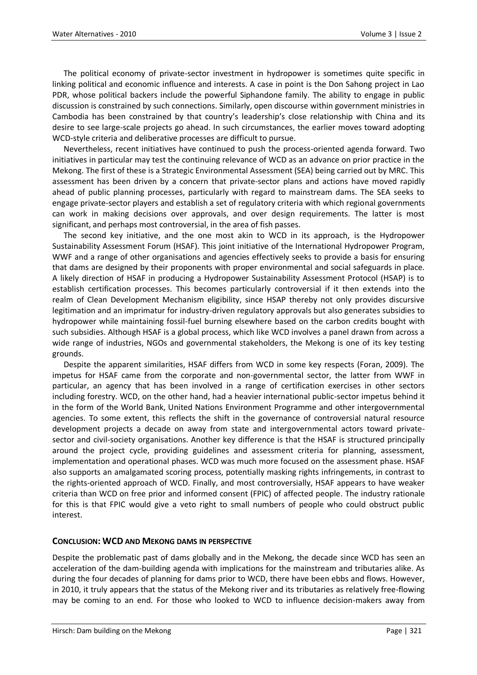The political economy of private-sector investment in hydropower is sometimes quite specific in linking political and economic influence and interests. A case in point is the Don Sahong project in Lao PDR, whose political backers include the powerful Siphandone family. The ability to engage in public discussion is constrained by such connections. Similarly, open discourse within government ministries in Cambodia has been constrained by that country's leadership's close relationship with China and its desire to see large-scale projects go ahead. In such circumstances, the earlier moves toward adopting WCD-style criteria and deliberative processes are difficult to pursue.

Nevertheless, recent initiatives have continued to push the process-oriented agenda forward. Two initiatives in particular may test the continuing relevance of WCD as an advance on prior practice in the Mekong. The first of these is a Strategic Environmental Assessment (SEA) being carried out by MRC. This assessment has been driven by a concern that private-sector plans and actions have moved rapidly ahead of public planning processes, particularly with regard to mainstream dams. The SEA seeks to engage private-sector players and establish a set of regulatory criteria with which regional governments can work in making decisions over approvals, and over design requirements. The latter is most significant, and perhaps most controversial, in the area of fish passes.

The second key initiative, and the one most akin to WCD in its approach, is the Hydropower Sustainability Assessment Forum (HSAF). This joint initiative of the International Hydropower Program, WWF and a range of other organisations and agencies effectively seeks to provide a basis for ensuring that dams are designed by their proponents with proper environmental and social safeguards in place. A likely direction of HSAF in producing a Hydropower Sustainability Assessment Protocol (HSAP) is to establish certification processes. This becomes particularly controversial if it then extends into the realm of Clean Development Mechanism eligibility, since HSAP thereby not only provides discursive legitimation and an imprimatur for industry-driven regulatory approvals but also generates subsidies to hydropower while maintaining fossil-fuel burning elsewhere based on the carbon credits bought with such subsidies. Although HSAF is a global process, which like WCD involves a panel drawn from across a wide range of industries, NGOs and governmental stakeholders, the Mekong is one of its key testing grounds.

Despite the apparent similarities, HSAF differs from WCD in some key respects (Foran, 2009). The impetus for HSAF came from the corporate and non-governmental sector, the latter from WWF in particular, an agency that has been involved in a range of certification exercises in other sectors including forestry. WCD, on the other hand, had a heavier international public-sector impetus behind it in the form of the World Bank, United Nations Environment Programme and other intergovernmental agencies. To some extent, this reflects the shift in the governance of controversial natural resource development projects a decade on away from state and intergovernmental actors toward privatesector and civil-society organisations. Another key difference is that the HSAF is structured principally around the project cycle, providing guidelines and assessment criteria for planning, assessment, implementation and operational phases. WCD was much more focused on the assessment phase. HSAF also supports an amalgamated scoring process, potentially masking rights infringements, in contrast to the rights-oriented approach of WCD. Finally, and most controversially, HSAF appears to have weaker criteria than WCD on free prior and informed consent (FPIC) of affected people. The industry rationale for this is that FPIC would give a veto right to small numbers of people who could obstruct public interest.

#### **CONCLUSION: WCD AND MEKONG DAMS IN PERSPECTIVE**

Despite the problematic past of dams globally and in the Mekong, the decade since WCD has seen an acceleration of the dam-building agenda with implications for the mainstream and tributaries alike. As during the four decades of planning for dams prior to WCD, there have been ebbs and flows. However, in 2010, it truly appears that the status of the Mekong river and its tributaries as relatively free-flowing may be coming to an end. For those who looked to WCD to influence decision-makers away from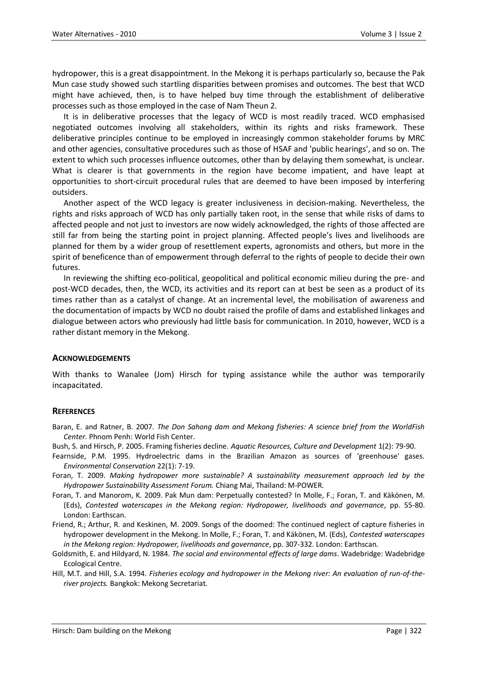hydropower, this is a great disappointment. In the Mekong it is perhaps particularly so, because the Pak Mun case study showed such startling disparities between promises and outcomes. The best that WCD might have achieved, then, is to have helped buy time through the establishment of deliberative processes such as those employed in the case of Nam Theun 2.

It is in deliberative processes that the legacy of WCD is most readily traced. WCD emphasised negotiated outcomes involving all stakeholders, within its rights and risks framework. These deliberative principles continue to be employed in increasingly common stakeholder forums by MRC and other agencies, consultative procedures such as those of HSAF and 'public hearings', and so on. The extent to which such processes influence outcomes, other than by delaying them somewhat, is unclear. What is clearer is that governments in the region have become impatient, and have leapt at opportunities to short-circuit procedural rules that are deemed to have been imposed by interfering outsiders.

Another aspect of the WCD legacy is greater inclusiveness in decision-making. Nevertheless, the rights and risks approach of WCD has only partially taken root, in the sense that while risks of dams to affected people and not just to investors are now widely acknowledged, the rights of those affected are still far from being the starting point in project planning. Affected people's lives and livelihoods are planned for them by a wider group of resettlement experts, agronomists and others, but more in the spirit of beneficence than of empowerment through deferral to the rights of people to decide their own futures.

In reviewing the shifting eco-political, geopolitical and political economic milieu during the pre- and post-WCD decades, then, the WCD, its activities and its report can at best be seen as a product of its times rather than as a catalyst of change. At an incremental level, the mobilisation of awareness and the documentation of impacts by WCD no doubt raised the profile of dams and established linkages and dialogue between actors who previously had little basis for communication. In 2010, however, WCD is a rather distant memory in the Mekong.

#### **ACKNOWLEDGEMENTS**

With thanks to Wanalee (Jom) Hirsch for typing assistance while the author was temporarily incapacitated.

#### **REFERENCES**

Baran, E. and Ratner, B. 2007. *The Don Sahong dam and Mekong fisheries: A science brief from the WorldFish Center.* Phnom Penh: World Fish Center.

- Bush, S. and Hirsch, P. 2005. Framing fisheries decline. *Aquatic Resources, Culture and Development* 1(2): 79-90.
- Fearnside, P.M. 1995. Hydroelectric dams in the Brazilian Amazon as sources of 'greenhouse' gases. *Environmental Conservation* 22(1): 7-19.
- Foran, T. 2009. *Making hydropower more sustainable? A sustainability measurement approach led by the Hydropower Sustainability Assessment Forum.* Chiang Mai, Thailand: M-POWER.
- Foran, T. and Manorom, K. 2009. Pak Mun dam: Perpetually contested? In Molle, F.; Foran, T. and Käkönen, M. (Eds), *Contested waterscapes in the Mekong region: Hydropower, livelihoods and governance,* pp. 55-80. London: Earthscan.
- Friend, R.; Arthur, R. and Keskinen, M. 2009. Songs of the doomed: The continued neglect of capture fisheries in hydropower development in the Mekong. In Molle, F.; Foran, T. and Käkönen, M. (Eds), *Contested waterscapes in the Mekong region: Hydropower, livelihoods and governance*, pp. 307-332. London: Earthscan.
- Goldsmith, E. and Hildyard, N. 1984. *The social and environmental effects of large dams*. Wadebridge: Wadebridge Ecological Centre.
- Hill, M.T. and Hill, S.A. 1994. *Fisheries ecology and hydropower in the Mekong river: An evaluation of run-of-theriver projects.* Bangkok: Mekong Secretariat.